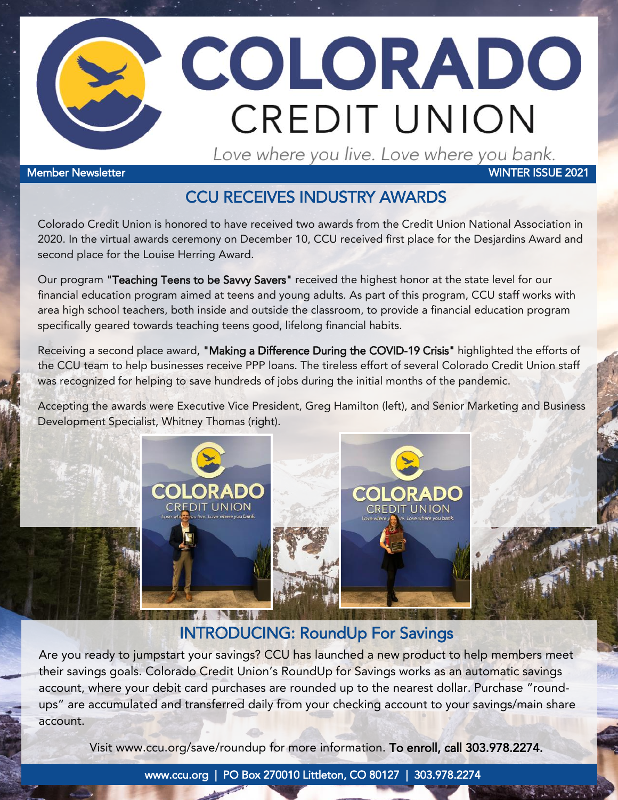

#### Member Newsletter WINTER ISSUE 2021

### CCU RECEIVES INDUSTRY AWARDS

Colorado Credit Union is honored to have received two awards from the Credit Union National Association in 2020. In the virtual awards ceremony on December 10, CCU received first place for the Desjardins Award and second place for the Louise Herring Award.

Our program "Teaching Teens to be Savvy Savers" received the highest honor at the state level for our financial education program aimed at teens and young adults. As part of this program, CCU staff works with area high school teachers, both inside and outside the classroom, to provide a financial education program specifically geared towards teaching teens good, lifelong financial habits.

Receiving a second place award, "Making a Difference During the COVID-19 Crisis" highlighted the efforts of the CCU team to help businesses receive PPP loans. The tireless effort of several Colorado Credit Union staff was recognized for helping to save hundreds of jobs during the initial months of the pandemic.

Accepting the awards were Executive Vice President, Greg Hamilton (left), and Senior Marketing and Business Development Specialist, Whitney Thomas (right).



## INTRODUCING: RoundUp For Savings

Are you ready to jumpstart your savings? CCU has launched a new product to help members meet their savings goals. Colorado Credit Union's RoundUp for Savings works as an automatic savings account, where your debit card purchases are rounded up to the nearest dollar. Purchase "roundups" are accumulated and transferred daily from your checking account to your savings/main share account.

Visit [www.ccu.org/save/roundup](http://www.ccu.org/save/roundup) for more information. To enroll, call 303.978.2274.